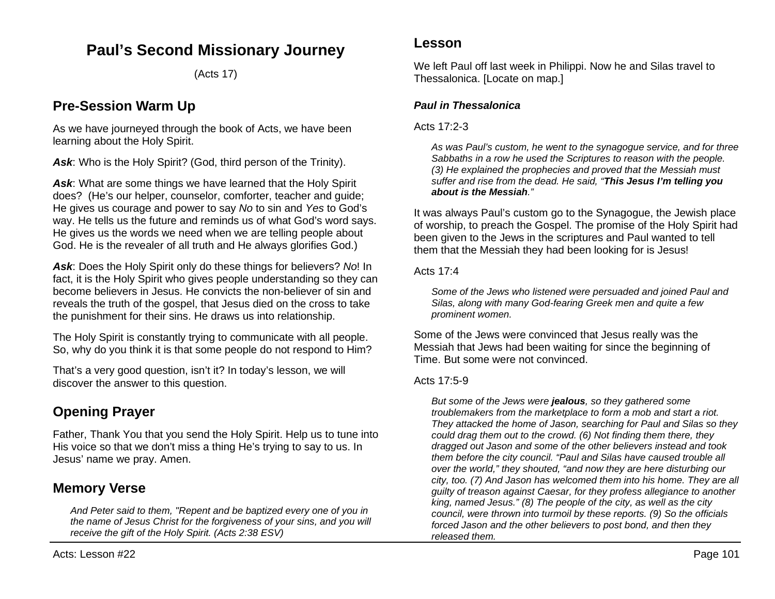## **Paul's Second Missionary Journey**

(Acts 17)

## **Pre-Session Warm Up**

As we have journeyed through the book of Acts, we have been learning about the Holy Spirit.

Ask: Who is the Holy Spirit? (God, third person of the Trinity).

Ask: What are some things we have learned that the Holy Spirit does? (He's our helper, counselor, comforter, teacher and guide; He gives us courage and power to say *No* to sin and *Yes* to God's way. He tells us the future and reminds us of what God's word says. He gives us the words we need when we are telling people about God. He is the revealer of all truth and He always glorifies God.)

*Ask*: Does the Holy Spirit only do these things for believers? *No*! In fact, it is the Holy Spirit who gives people understanding so they can become believers in Jesus. He convicts the non-believer of sin and reveals the truth of the gospel, that Jesus died on the cross to take the punishment for their sins. He draws us into relationship.

The Holy Spirit is constantly trying to communicate with all people. So, why do you think it is that some people do not respond to Him?

That's a very good question, isn't it? In today's lesson, we will discover the answer to this question.

# **Opening Prayer**

Father, Thank You that you send the Holy Spirit. Help us to tune into His voice so that we don't miss a thing He's trying to say to us. In Jesus' name we pray. Amen.

## **Memory Verse**

*And Peter said to them, "Repent and be baptized every one of you in the name of Jesus Christ for the forgiveness of your sins, and you will receive the gift of the Holy Spirit. (Acts 2:38 ESV)*

## **Lesson**

We left Paul off last week in Philippi. Now he and Silas travel to Thessalonica. [Locate on map.]

## *Paul in Thessalonica*

### Acts 17:2-3

*As was Paul's custom, he went to the synagogue service, and for three Sabbaths in a row he used the Scriptures to reason with the people. (3) He explained the prophecies and proved that the Messiah must suffer and rise from the dead. He said, "This Jesus I'm telling you about is the Messiah."*

It was always Paul's custom go to the Synagogue, the Jewish place of worship, to preach the Gospel. The promise of the Holy Spirit had been given to the Jews in the scriptures and Paul wanted to tell them that the Messiah they had been looking for is Jesus!

#### Acts 17:4

*Some of the Jews who listened were persuaded and joined Paul and Silas, along with many God-fearing Greek men and quite a few prominent women.*

Some of the Jews were convinced that Jesus really was the Messiah that Jews had been waiting for since the beginning of Time. But some were not convinced.

### Acts 17:5-9

*But some of the Jews were jealous, so they gathered some troublemakers from the marketplace to form a mob and start a riot. They attacked the home of Jason, searching for Paul and Silas so they could drag them out to the crowd. (6) Not finding them there, they dragged out Jason and some of the other believers instead and took them before the city council. "Paul and Silas have caused trouble all over the world," they shouted, "and now they are here disturbing our city, too. (7) And Jason has welcomed them into his home. They are all guilty of treason against Caesar, for they profess allegiance to another king, named Jesus." (8) The people of the city, as well as the city council, were thrown into turmoil by these reports. (9) So the officials forced Jason and the other believers to post bond, and then they released them.*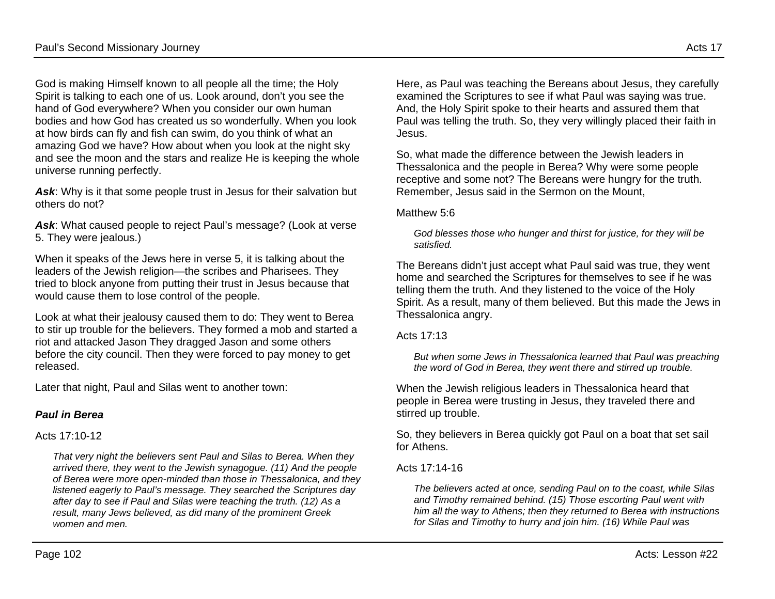God is making Himself known to all people all the time; the Holy Spirit is talking to each one of us. Look around, don't you see the hand of God everywhere? When you consider our own human bodies and how God has created us so wonderfully. When you look at how birds can fly and fish can swim, do you think of what an amazing God we have? How about when you look at the night sky and see the moon and the stars and realize He is keeping the whole universe running perfectly.

Ask: Why is it that some people trust in Jesus for their salvation but others do not?

*Ask*: What caused people to reject Paul's message? (Look at verse 5. They were jealous.)

When it speaks of the Jews here in verse 5, it is talking about the leaders of the Jewish religion—the scribes and Pharisees. They tried to block anyone from putting their trust in Jesus because that would cause them to lose control of the people.

Look at what their jealousy caused them to do: They went to Berea to stir up trouble for the believers. They formed a mob and started a riot and attacked Jason They dragged Jason and some others before the city council. Then they were forced to pay money to get released.

Later that night, Paul and Silas went to another town:

## *Paul in Berea*

### Acts 17:10-12

*That very night the believers sent Paul and Silas to Berea. When they arrived there, they went to the Jewish synagogue. (11) And the people of Berea were more open-minded than those in Thessalonica, and they listened eagerly to Paul's message. They searched the Scriptures day after day to see if Paul and Silas were teaching the truth. (12) As a result, many Jews believed, as did many of the prominent Greek women and men.*

Here, as Paul was teaching the Bereans about Jesus, they carefully examined the Scriptures to see if what Paul was saying was true. And, the Holy Spirit spoke to their hearts and assured them that Paul was telling the truth. So, they very willingly placed their faith in Jesus.

So, what made the difference between the Jewish leaders in Thessalonica and the people in Berea? Why were some people receptive and some not? The Bereans were hungry for the truth. Remember, Jesus said in the Sermon on the Mount,

#### Matthew 5:6

*God blesses those who hunger and thirst for justice, for they will be satisfied.*

The Bereans didn't just accept what Paul said was true, they went home and searched the Scriptures for themselves to see if he was telling them the truth. And they listened to the voice of the Holy Spirit. As a result, many of them believed. But this made the Jews in Thessalonica angry.

#### Acts 17:13

*But when some Jews in Thessalonica learned that Paul was preaching the word of God in Berea, they went there and stirred up trouble.*

When the Jewish religious leaders in Thessalonica heard that people in Berea were trusting in Jesus, they traveled there and stirred up trouble.

So, they believers in Berea quickly got Paul on a boat that set sail for Athens.

### Acts 17:14-16

*The believers acted at once, sending Paul on to the coast, while Silas and Timothy remained behind. (15) Those escorting Paul went with him all the way to Athens; then they returned to Berea with instructions for Silas and Timothy to hurry and join him. (16) While Paul was*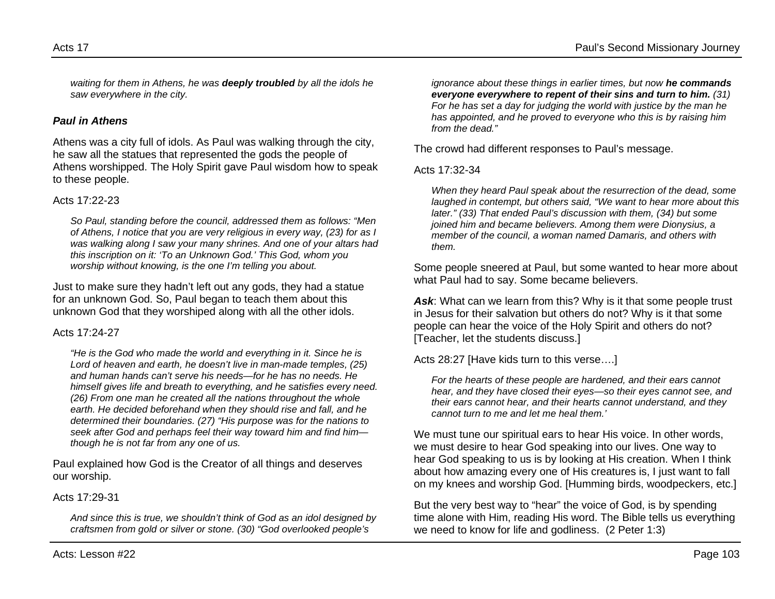*waiting for them in Athens, he was deeply troubled by all the idols he saw everywhere in the city.*

### *Paul in Athens*

Athens was a city full of idols. As Paul was walking through the city, he saw all the statues that represented the gods the people of Athens worshipped. The Holy Spirit gave Paul wisdom how to speak to these people.

#### Acts 17:22-23

*So Paul, standing before the council, addressed them as follows: "Men of Athens, I notice that you are very religious in every way, (23) for as I was walking along I saw your many shrines. And one of your altars had this inscription on it: 'To an Unknown God.' This God, whom you worship without knowing, is the one I'm telling you about.*

Just to make sure they hadn't left out any gods, they had a statue for an unknown God. So, Paul began to teach them about this unknown God that they worshiped along with all the other idols.

#### Acts 17:24-27

*"He is the God who made the world and everything in it. Since he is Lord of heaven and earth, he doesn't live in man-made temples, (25) and human hands can't serve his needs—for he has no needs. He himself gives life and breath to everything, and he satisfies every need. (26) From one man he created all the nations throughout the whole earth. He decided beforehand when they should rise and fall, and he determined their boundaries. (27) "His purpose was for the nations to seek after God and perhaps feel their way toward him and find him though he is not far from any one of us.*

Paul explained how God is the Creator of all things and deserves our worship.

#### Acts 17:29-31

*And since this is true, we shouldn't think of God as an idol designed by craftsmen from gold or silver or stone. (30) "God overlooked people's* 

*ignorance about these things in earlier times, but now he commands everyone everywhere to repent of their sins and turn to him. (31) For he has set a day for judging the world with justice by the man he has appointed, and he proved to everyone who this is by raising him from the dead."*

The crowd had different responses to Paul's message.

#### Acts 17:32-34

*When they heard Paul speak about the resurrection of the dead, some laughed in contempt, but others said, "We want to hear more about this later." (33) That ended Paul's discussion with them, (34) but some joined him and became believers. Among them were Dionysius, a member of the council, a woman named Damaris, and others with them.*

Some people sneered at Paul, but some wanted to hear more about what Paul had to say. Some became believers.

*Ask*: What can we learn from this? Why is it that some people trust in Jesus for their salvation but others do not? Why is it that some people can hear the voice of the Holy Spirit and others do not? [Teacher, let the students discuss.]

Acts 28:27 [Have kids turn to this verse….]

*For the hearts of these people are hardened, and their ears cannot hear, and they have closed their eyes—so their eyes cannot see, and their ears cannot hear, and their hearts cannot understand, and they cannot turn to me and let me heal them.'*

We must tune our spiritual ears to hear His voice. In other words, we must desire to hear God speaking into our lives. One way to hear God speaking to us is by looking at His creation. When I think about how amazing every one of His creatures is, I just want to fall on my knees and worship God. [Humming birds, woodpeckers, etc.]

But the very best way to "hear" the voice of God, is by spending time alone with Him, reading His word. The Bible tells us everything we need to know for life and godliness. (2 Peter 1:3)